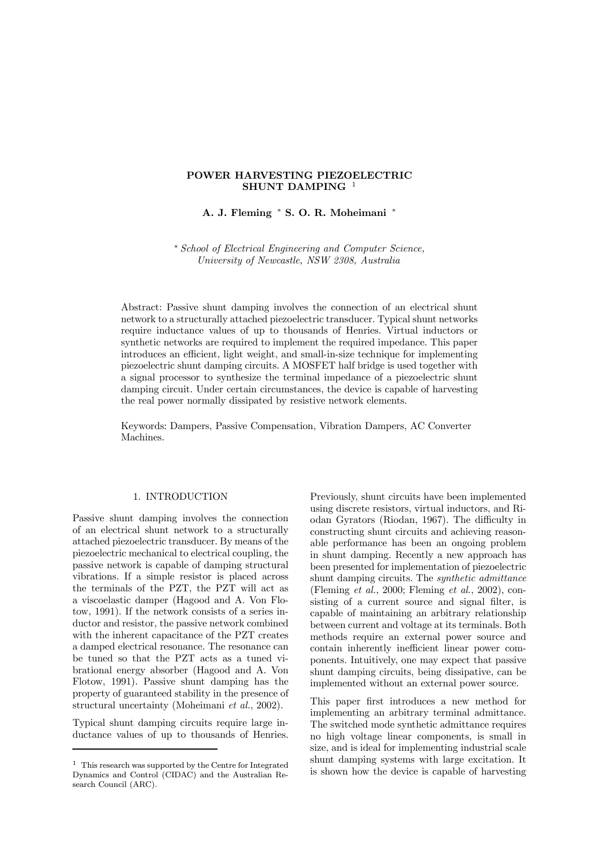# POWER HARVESTING PIEZOELECTRIC SHUNT DAMPING<sup>1</sup>

A. J. Fleming \* S. O. R. Moheimani \*

¤ School of Electrical Engineering and Computer Science, University of Newcastle, NSW 2308, Australia

Abstract: Passive shunt damping involves the connection of an electrical shunt network to a structurally attached piezoelectric transducer. Typical shunt networks require inductance values of up to thousands of Henries. Virtual inductors or synthetic networks are required to implement the required impedance. This paper introduces an efficient, light weight, and small-in-size technique for implementing piezoelectric shunt damping circuits. A MOSFET half bridge is used together with a signal processor to synthesize the terminal impedance of a piezoelectric shunt damping circuit. Under certain circumstances, the device is capable of harvesting the real power normally dissipated by resistive network elements.

Keywords: Dampers, Passive Compensation, Vibration Dampers, AC Converter Machines.

## 1. INTRODUCTION

Passive shunt damping involves the connection of an electrical shunt network to a structurally attached piezoelectric transducer. By means of the piezoelectric mechanical to electrical coupling, the passive network is capable of damping structural vibrations. If a simple resistor is placed across the terminals of the PZT, the PZT will act as a viscoelastic damper (Hagood and A. Von Flotow, 1991). If the network consists of a series inductor and resistor, the passive network combined with the inherent capacitance of the PZT creates a damped electrical resonance. The resonance can be tuned so that the PZT acts as a tuned vibrational energy absorber (Hagood and A. Von Flotow, 1991). Passive shunt damping has the property of guaranteed stability in the presence of structural uncertainty (Moheimani et al., 2002).

Typical shunt damping circuits require large inductance values of up to thousands of Henries. Previously, shunt circuits have been implemented using discrete resistors, virtual inductors, and Riodan Gyrators (Riodan, 1967). The difficulty in constructing shunt circuits and achieving reasonable performance has been an ongoing problem in shunt damping. Recently a new approach has been presented for implementation of piezoelectric shunt damping circuits. The synthetic admittance (Fleming et al., 2000; Fleming et al., 2002), consisting of a current source and signal filter, is capable of maintaining an arbitrary relationship between current and voltage at its terminals. Both methods require an external power source and contain inherently inefficient linear power components. Intuitively, one may expect that passive shunt damping circuits, being dissipative, can be implemented without an external power source.

This paper first introduces a new method for implementing an arbitrary terminal admittance. The switched mode synthetic admittance requires no high voltage linear components, is small in size, and is ideal for implementing industrial scale shunt damping systems with large excitation. It is shown how the device is capable of harvesting

<sup>1</sup> This research was supported by the Centre for Integrated Dynamics and Control (CIDAC) and the Australian Research Council (ARC).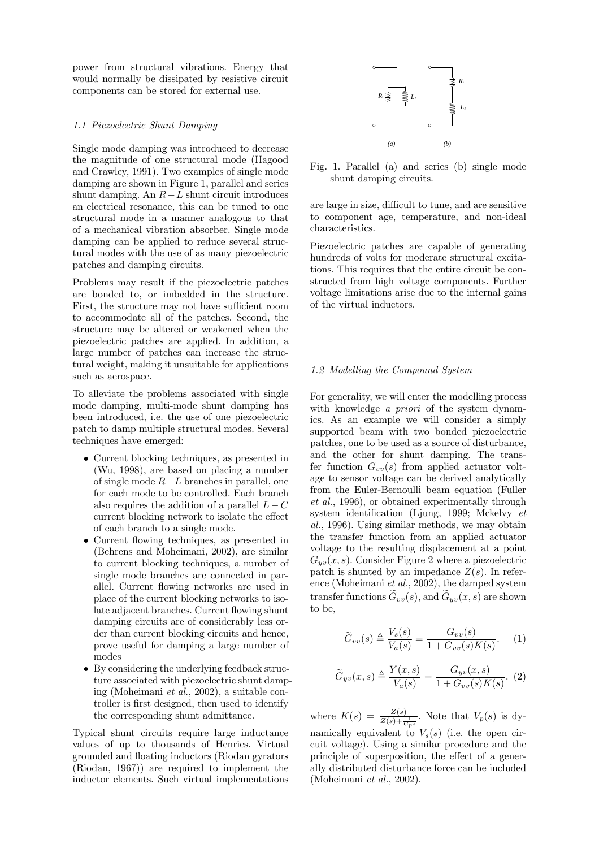power from structural vibrations. Energy that would normally be dissipated by resistive circuit components can be stored for external use.

### 1.1 Piezoelectric Shunt Damping

Single mode damping was introduced to decrease the magnitude of one structural mode (Hagood and Crawley, 1991). Two examples of single mode damping are shown in Figure 1, parallel and series shunt damping. An  $R-L$  shunt circuit introduces an electrical resonance, this can be tuned to one structural mode in a manner analogous to that of a mechanical vibration absorber. Single mode damping can be applied to reduce several structural modes with the use of as many piezoelectric patches and damping circuits.

Problems may result if the piezoelectric patches are bonded to, or imbedded in the structure. First, the structure may not have sufficient room to accommodate all of the patches. Second, the structure may be altered or weakened when the piezoelectric patches are applied. In addition, a large number of patches can increase the structural weight, making it unsuitable for applications such as aerospace.

To alleviate the problems associated with single mode damping, multi-mode shunt damping has been introduced, i.e. the use of one piezoelectric patch to damp multiple structural modes. Several techniques have emerged:

- Current blocking techniques, as presented in (Wu, 1998), are based on placing a number of single mode  $R-L$  branches in parallel, one for each mode to be controlled. Each branch also requires the addition of a parallel  $L - C$ current blocking network to isolate the effect of each branch to a single mode.
- Current flowing techniques, as presented in (Behrens and Moheimani, 2002), are similar to current blocking techniques, a number of single mode branches are connected in parallel. Current flowing networks are used in place of the current blocking networks to isolate adjacent branches. Current flowing shunt damping circuits are of considerably less order than current blocking circuits and hence, prove useful for damping a large number of modes
- By considering the underlying feedback structure associated with piezoelectric shunt damping (Moheimani et al., 2002), a suitable controller is first designed, then used to identify the corresponding shunt admittance.

Typical shunt circuits require large inductance values of up to thousands of Henries. Virtual grounded and floating inductors (Riodan gyrators (Riodan, 1967)) are required to implement the inductor elements. Such virtual implementations



Fig. 1. Parallel (a) and series (b) single mode shunt damping circuits.

are large in size, difficult to tune, and are sensitive to component age, temperature, and non-ideal characteristics.

Piezoelectric patches are capable of generating hundreds of volts for moderate structural excitations. This requires that the entire circuit be constructed from high voltage components. Further voltage limitations arise due to the internal gains of the virtual inductors.

### 1.2 Modelling the Compound System

For generality, we will enter the modelling process with knowledge *a priori* of the system dynamics. As an example we will consider a simply supported beam with two bonded piezoelectric patches, one to be used as a source of disturbance, and the other for shunt damping. The transfer function  $G_{vv}(s)$  from applied actuator voltage to sensor voltage can be derived analytically from the Euler-Bernoulli beam equation (Fuller et al., 1996), or obtained experimentally through system identification (Ljung, 1999; Mckelvy  $et$ al., 1996). Using similar methods, we may obtain the transfer function from an applied actuator voltage to the resulting displacement at a point  $G_{uv}(x, s)$ . Consider Figure 2 where a piezoelectric patch is shunted by an impedance  $Z(s)$ . In reference (Moheimani et al., 2002), the damped system transfer functions  $\tilde{G}_{vv}(s)$ , and  $\tilde{G}_{yv}(x, s)$  are shown to be,

$$
\widetilde{G}_{vv}(s) \triangleq \frac{V_s(s)}{V_a(s)} = \frac{G_{vv}(s)}{1 + G_{vv}(s)K(s)}.\tag{1}
$$

$$
\widetilde{G}_{yv}(x,s) \triangleq \frac{Y(x,s)}{V_a(s)} = \frac{G_{yv}(x,s)}{1 + G_{vv}(s)K(s)}.
$$
 (2)

where  $K(s) = \frac{Z(s)}{Z(s) + \frac{1}{C_{p}s}}$ . Note that  $V_p(s)$  is dynamically equivalent to  $V_s(s)$  (i.e. the open circuit voltage). Using a similar procedure and the principle of superposition, the effect of a generally distributed disturbance force can be included (Moheimani et al., 2002).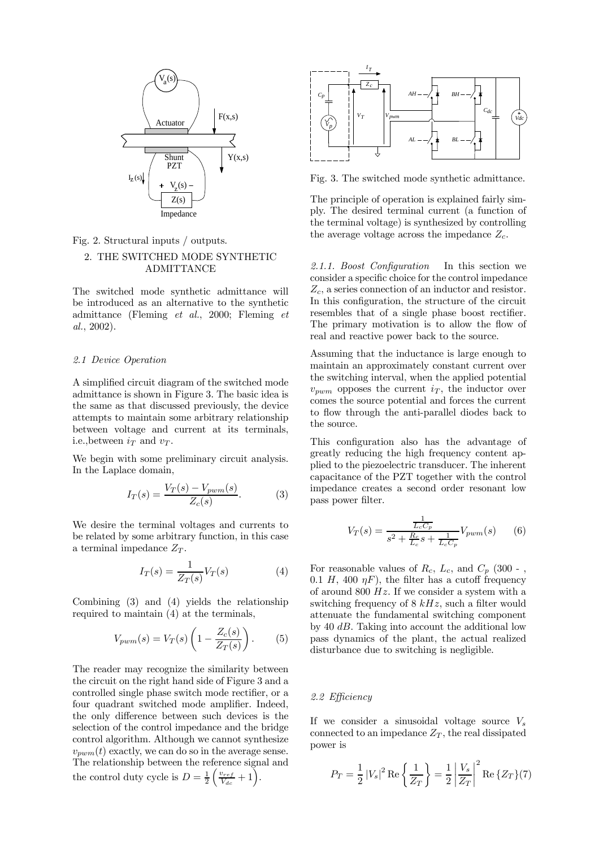

Fig. 2. Structural inputs / outputs.

## 2. THE SWITCHED MODE SYNTHETIC ADMITTANCE

The switched mode synthetic admittance will be introduced as an alternative to the synthetic admittance (Fleming et al., 2000; Fleming et al., 2002).

### 2.1 Device Operation

A simplified circuit diagram of the switched mode admittance is shown in Figure 3. The basic idea is the same as that discussed previously, the device attempts to maintain some arbitrary relationship between voltage and current at its terminals, i.e., between  $i<sub>T</sub>$  and  $v<sub>T</sub>$ .

We begin with some preliminary circuit analysis. In the Laplace domain,

$$
I_T(s) = \frac{V_T(s) - V_{pwm}(s)}{Z_c(s)}.
$$
 (3)

We desire the terminal voltages and currents to be related by some arbitrary function, in this case a terminal impedance  $Z_T$ .

$$
I_T(s) = \frac{1}{Z_T(s)} V_T(s) \tag{4}
$$

Combining (3) and (4) yields the relationship required to maintain (4) at the terminals.

$$
V_{pwm}(s) = V_T(s) \left( 1 - \frac{Z_c(s)}{Z_T(s)} \right). \tag{5}
$$

The reader may recognize the similarity between the circuit on the right hand side of Figure 3 and a controlled single phase switch mode rectifier, or a four quadrant switched mode amplifier. Indeed, the only difference between such devices is the selection of the control impedance and the bridge control algorithm. Although we cannot synthesize  $v_{pwm}(t)$  exactly, we can do so in the average sense. The relationship between the reference signal and the control duty cycle is  $D = \frac{1}{2}$  $\int v_{ref}$  $\frac{v_{ref}}{V_{dc}}+1\Big).$ 



Fig. 3. The switched mode synthetic admittance.

The principle of operation is explained fairly simply. The desired terminal current (a function of the terminal voltage) is synthesized by controlling the average voltage across the impedance  $Z_c$ .

2.1.1. Boost Configuration In this section we consider a specific choice for the control impedance  $Z_c$ , a series connection of an inductor and resistor. In this configuration, the structure of the circuit resembles that of a single phase boost rectifier. The primary motivation is to allow the flow of real and reactive power back to the source.

Assuming that the inductance is large enough to maintain an approximately constant current over the switching interval, when the applied potential  $v_{pwm}$  opposes the current  $i_T$ , the inductor over comes the source potential and forces the current to flow through the anti-parallel diodes back to the source.

This configuration also has the advantage of greatly reducing the high frequency content applied to the piezoelectric transducer. The inherent capacitance of the PZT together with the control impedance creates a second order resonant low pass power filter.

$$
V_T(s) = \frac{\frac{1}{L_c C_p}}{s^2 + \frac{R_c}{L_c} s + \frac{1}{L_c C_p}} V_{pwm}(s)
$$
 (6)

For reasonable values of  $R_c$ ,  $L_c$ , and  $C_p$  (300 -, 0.1 H, 400  $\eta$ F), the filter has a cutoff frequency of around 800  $Hz$ . If we consider a system with a switching frequency of  $8 kHz$ , such a filter would attenuate the fundamental switching component by 40  $dB$ . Taking into account the additional low pass dynamics of the plant, the actual realized disturbance due to switching is negligible.

#### 2.2 Efficiency

If we consider a sinusoidal voltage source  $V_s$ connected to an impedance  $Z_T$ , the real dissipated power is

$$
P_T = \frac{1}{2} |V_s|^2 \operatorname{Re} \left\{ \frac{1}{Z_T} \right\} = \frac{1}{2} \left| \frac{V_s}{Z_T} \right|^2 \operatorname{Re} \left\{ Z_T \right\} (7)
$$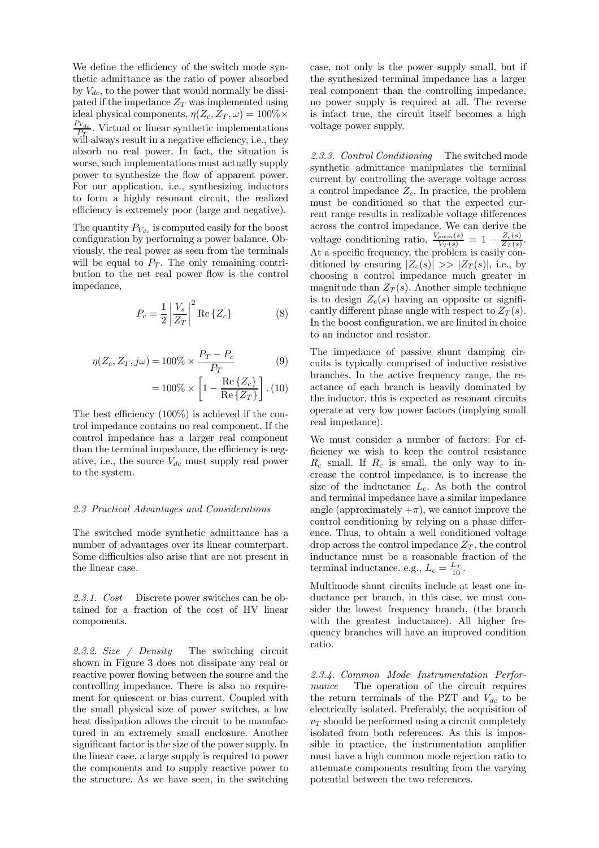We define the efficiency of the switch mode synthetic admittance as the ratio of power absorbed by  $V_{dc}$ , to the power that would normally be dissipated if the impedance  $Z_T$  was implemented using ideal physical components,  $\eta(Z_c, Z_T, \omega) = 100\% \times$  $\frac{P_{V_{dc}}}{P_T}$ . Virtual or linear synthetic implementations will always result in a negative efficiency, i.e., they absorb no real power. In fact, the situation is worse, such implementations must actually supply power to synthesize the flow of apparent power. For our application, i.e., synthesizing inductors to form a highly resonant circuit, the realized efficiency is extremely poor (large and negative).

The quantity  $P_{V_{dc}}$  is computed easily for the boost configuration by performing a power balance. Obviously, the real power as seen from the terminals will be equal to  $P_T$ . The only remaining contribution to the net real power flow is the control impedance,

$$
P_c = \frac{1}{2} \left| \frac{V_s}{Z_T} \right|^2 \text{Re}\left\{ Z_c \right\} \tag{8}
$$

$$
\eta(Z_c, Z_T, j\omega) = 100\% \times \frac{P_T - P_c}{P_T}
$$
\n
$$
\left[\begin{array}{c} \text{Re}\{Z\}\end{array}\right]
$$
\n(9)

$$
=100\% \times \left[1 - \frac{\text{Re}\left\{Z_c\right\}}{\text{Re}\left\{Z_T\right\}}\right]. (10)
$$

The best efficiency  $(100\%)$  is achieved if the control impedance contains no real component. If the control impedance has a larger real component than the terminal impedance, the efficiency is negative, i.e., the source  $V_{dc}$  must supply real power to the system.

## 2.3 Practical Advantages and Considerations

The switched mode synthetic admittance has a number of advantages over its linear counterpart. Some difficulties also arise that are not present in the linear case.

2.3.1. Cost Discrete power switches can be obtained for a fraction of the cost of HV linear components.

2.3.2. Size / Density The switching circuit shown in Figure 3 does not dissipate any real or reactive power flowing between the source and the controlling impedance. There is also no requirement for quiescent or bias current. Coupled with the small physical size of power switches, a low heat dissipation allows the circuit to be manufactured in an extremely small enclosure. Another significant factor is the size of the power supply. In the linear case, a large supply is required to power the components and to supply reactive power to the structure. As we have seen, in the switching case, not only is the power supply small, but if the synthesized terminal impedance has a larger real component than the controlling impedance, no power supply is required at all. The reverse is infact true, the circuit itself becomes a high voltage power supply.

2.3.3. Control Conditioning The switched mode synthetic admittance manipulates the terminal current by controlling the average voltage across a control impedance  $Z_c$ , In practice, the problem must be conditioned so that the expected current range results in realizable voltage differences across the control impedance. We can derive the voltage conditioning ratio,  $\frac{V_{pwm}(s)}{V_T(s)} = 1 - \frac{Z_c(s)}{Z_T(s)}$  $\frac{Z_c(s)}{Z_T(s)}$ . At a specific frequency, the problem is easily conditioned by ensuring  $|Z_c(s)| \gg |Z_T(s)|$ , i.e., by choosing a control impedance much greater in magnitude than  $Z_T(s)$ . Another simple technique is to design  $Z_c(s)$  having an opposite or significantly different phase angle with respect to  $Z_T(s)$ . In the boost configuration, we are limited in choice to an inductor and resistor.

The impedance of passive shunt damping circuits is typically comprised of inductive resistive branches. In the active frequency range, the reactance of each branch is heavily dominated by the inductor, this is expected as resonant circuits operate at very low power factors (implying small real impedance).

We must consider a number of factors: For ef ficiency we wish to keep the control resistance  $R_c$  small. If  $R_c$  is small, the only way to increase the control impedance, is to increase the size of the inductance  $L_c$ . As both the control and terminal impedance have a similar impedance angle (approximately  $+\pi$ ), we cannot improve the control conditioning by relying on a phase difference. Thus, to obtain a well conditioned voltage drop across the control impedance  $Z_T$ , the control inductance must be a reasonable fraction of the terminal inductance. e.g.,  $L_c = \frac{L_T}{10}$ .

Multimode shunt circuits include at least one inductance per branch, in this case, we must consider the lowest frequency branch, (the branch with the greatest inductance). All higher frequency branches will have an improved condition ratio.

2.3.4. Common Mode Instrumentation Performance The operation of the circuit requires the return terminals of the PZT and  $V_{dc}$  to be electrically isolated. Preferably, the acquisition of  $v_T$  should be performed using a circuit completely isolated from both references. As this is impossible in practice, the instrumentation amplifier must have a high common mode rejection ratio to attenuate components resulting from the varying potential between the two references.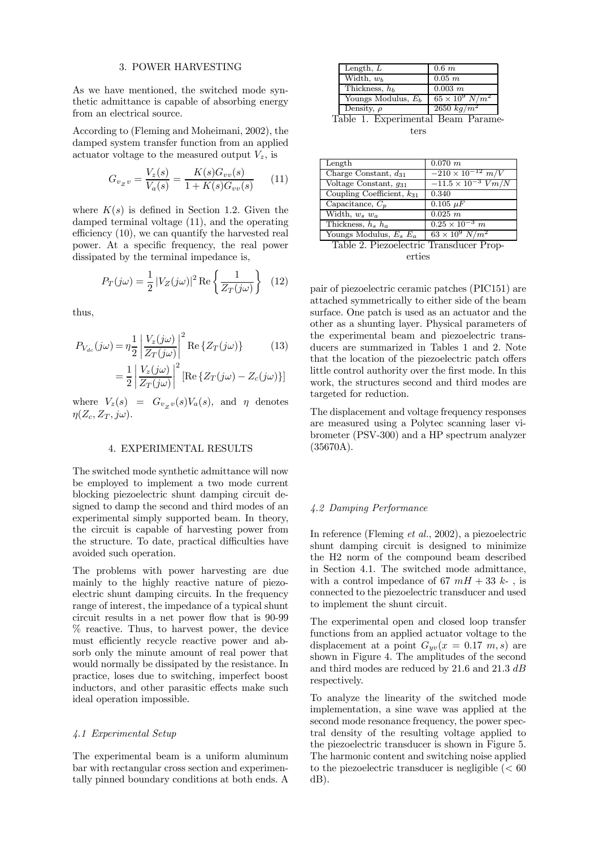#### 3. POWER HARVESTING

As we have mentioned, the switched mode synthetic admittance is capable of absorbing energy from an electrical source.

According to (Fleming and Moheimani, 2002), the damped system transfer function from an applied actuator voltage to the measured output  $V_z$ , is

$$
G_{v_Z v} = \frac{V_z(s)}{V_a(s)} = \frac{K(s)G_{vv}(s)}{1 + K(s)G_{vv}(s)} \tag{11}
$$

where  $K(s)$  is defined in Section 1.2. Given the damped terminal voltage (11), and the operating efficiency  $(10)$ , we can quantify the harvested real power. At a specific frequency, the real power dissipated by the terminal impedance is,

$$
P_T(j\omega) = \frac{1}{2} |V_Z(j\omega)|^2 \operatorname{Re} \left\{ \frac{1}{Z_T(j\omega)} \right\} \tag{12}
$$

thus,

$$
P_{V_{dc}}(j\omega) = \eta \frac{1}{2} \left| \frac{V_z(j\omega)}{Z_T(j\omega)} \right|^2 \text{Re}\left\{ Z_T(j\omega) \right\} \tag{13}
$$

$$
1 \left| V_z(j\omega) \right|^2 \text{Re}\left\{ Z_T(j\omega) - Z_j(j\omega) \right\}
$$

$$
= \frac{1}{2} \left| \frac{V_z(j\omega)}{Z_T(j\omega)} \right| \left[ \text{Re} \left\{ Z_T(j\omega) - Z_c(j\omega) \right\} \right]
$$

where  $V_z(s) = G_{v_z v}(s) V_a(s)$ , and  $\eta$  denotes  $\eta(Z_c, Z_T, j\omega).$ 

## 4. EXPERIMENTAL RESULTS

The switched mode synthetic admittance will now be employed to implement a two mode current blocking piezoelectric shunt damping circuit designed to damp the second and third modes of an experimental simply supported beam. In theory, the circuit is capable of harvesting power from the structure. To date, practical difficulties have avoided such operation.

The problems with power harvesting are due mainly to the highly reactive nature of piezoelectric shunt damping circuits. In the frequency range of interest, the impedance of a typical shunt circuit results in a net power flow that is  $90-99$ % reactive. Thus, to harvest power, the device must efficiently recycle reactive power and absorb only the minute amount of real power that would normally be dissipated by the resistance. In practice, loses due to switching, imperfect boost inductors, and other parasitic effects make such ideal operation impossible.

## 4.1 Experimental Setup

The experimental beam is a uniform aluminum bar with rectangular cross section and experimentally pinned boundary conditions at both ends. A

| Length, $L$           | $0.6\ m$                 |
|-----------------------|--------------------------|
| Width, $w_b$          | $0.05$ $m$               |
| Thickness, $h_h$      | $0.003 \; m$             |
| Youngs Modulus, $E_h$ | $65 \times 10^9$ $N/m^2$ |
| Density, $\rho$       | $2650 \ kg/m^2$          |

Table 1. Experimental Beam Parameters

| Length                         | $0.070$ $m$                   |
|--------------------------------|-------------------------------|
| Charge Constant, $d_{31}$      | $-210 \times 10^{-12}$ m/V    |
| Voltage Constant, $q_{31}$     | $-11.5 \times 10^{-3}$ $Vm/N$ |
| Coupling Coefficient, $k_{31}$ | 0.340                         |
| Capacitance, $C_p$             | $0.105 \mu F$                 |
| Width, $w_s w_a$               | 0.025 m                       |
| Thickness, $h_s$ $h_a$         | $0.25 \times 10^{-3}$ m       |
| Youngs Modulus, $E_s E_a$      | $63 \times 10^9 \ N/m^2$      |
| _____                          | $\overline{\phantom{a}}$      |

|  | Table 2. Piezoelectric Transducer Prop- |  |
|--|-----------------------------------------|--|
|  | erties                                  |  |

pair of piezoelectric ceramic patches (PIC151) are attached symmetrically to either side of the beam surface. One patch is used as an actuator and the other as a shunting layer. Physical parameters of the experimental beam and piezoelectric transducers are summarized in Tables 1 and 2. Note that the location of the piezoelectric patch offers little control authority over the first mode. In this work, the structures second and third modes are targeted for reduction.

The displacement and voltage frequency responses are measured using a Polytec scanning laser vibrometer (PSV-300) and a HP spectrum analyzer (35670A).

#### 4.2 Damping Performance

In reference (Fleming et al., 2002), a piezoelectric shunt damping circuit is designed to minimize the H2 norm of the compound beam described in Section 4.1. The switched mode admittance, with a control impedance of 67  $mH + 33 k$ -, is connected to the piezoelectric transducer and used to implement the shunt circuit.

The experimental open and closed loop transfer functions from an applied actuator voltage to the displacement at a point  $G_{\nu\nu}(x = 0.17 \, m, s)$  are shown in Figure 4. The amplitudes of the second and third modes are reduced by 21.6 and 21.3 dB respectively.

To analyze the linearity of the switched mode implementation, a sine wave was applied at the second mode resonance frequency, the power spectral density of the resulting voltage applied to the piezoelectric transducer is shown in Figure 5. The harmonic content and switching noise applied to the piezoelectric transducer is negligible  $(< 60$ dB).